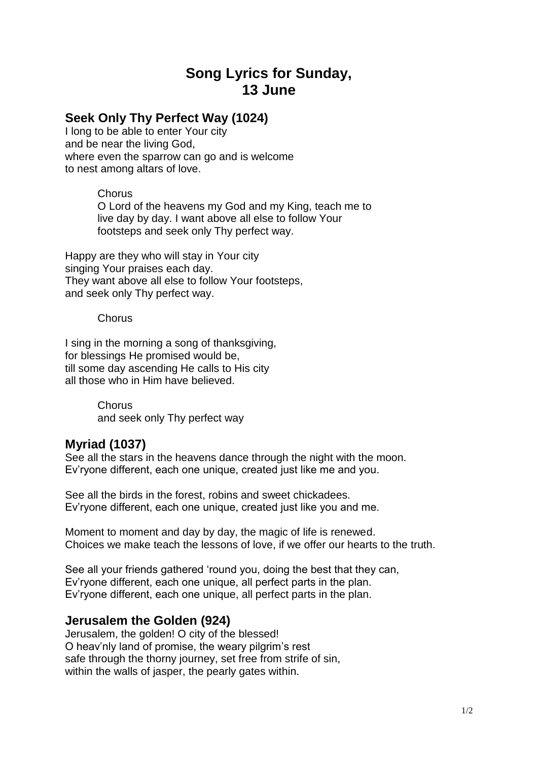## **Song Lyrics for Sunday, 13 June**

## **Seek Only Thy Perfect Way (1024)**

I long to be able to enter Your city and be near the living God, where even the sparrow can go and is welcome to nest among altars of love.

**Chorus** 

O Lord of the heavens my God and my King, teach me to live day by day. I want above all else to follow Your footsteps and seek only Thy perfect way.

Happy are they who will stay in Your city singing Your praises each day. They want above all else to follow Your footsteps, and seek only Thy perfect way.

**Chorus** 

I sing in the morning a song of thanksgiving, for blessings He promised would be, till some day ascending He calls to His city all those who in Him have believed.

> **Chorus** and seek only Thy perfect way

## **Myriad (1037)**

See all the stars in the heavens dance through the night with the moon. Ev'ryone different, each one unique, created just like me and you.

See all the birds in the forest, robins and sweet chickadees. Ev'ryone different, each one unique, created just like you and me.

Moment to moment and day by day, the magic of life is renewed. Choices we make teach the lessons of love, if we offer our hearts to the truth.

See all your friends gathered 'round you, doing the best that they can, Ev'ryone different, each one unique, all perfect parts in the plan. Ev'ryone different, each one unique, all perfect parts in the plan.

## **Jerusalem the Golden (924)**

Jerusalem, the golden! O city of the blessed! O heav'nly land of promise, the weary pilgrim's rest safe through the thorny journey, set free from strife of sin, within the walls of jasper, the pearly gates within.